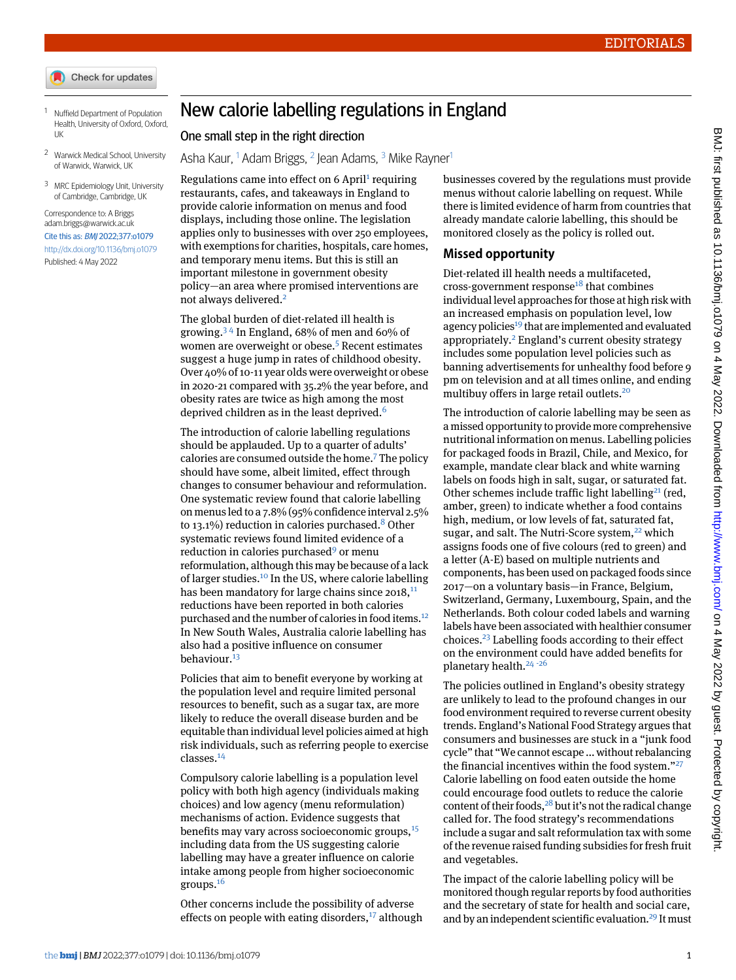- Check for updates
- <span id="page-0-1"></span><span id="page-0-0"></span><sup>1</sup> Nuffield Department of Population Health, University of Oxford, Oxford, UK
- <span id="page-0-2"></span><sup>2</sup> Warwick Medical School, University of Warwick, Warwick, UK
- <sup>3</sup> MRC Epidemiology Unit, University of Cambridge, Cambridge, UK

Correspondence to: A Briggs [adam.briggs@warwick.ac.uk](mailto:adam.briggs@warwick.ac.uk) Cite this as: BMJ 2022;377:o1079 <http://dx.doi.org/10.1136/bmj.o1079> Published: 4 May 2022

## New calorie labelling regulations in England

One small step in the right direction

Asha Kaur, <sup>[1](#page-0-0)</sup> Adam Briggs, <sup>[2](#page-0-1)</sup> Jean Adams, <sup>[3](#page-0-2)</sup> Mike Rayner<sup>1</sup>

Regulations came into effect on 6 April<sup>[1](#page-1-0)</sup> requiring restaurants, cafes, and takeaways in England to provide calorie information on menus and food displays, including those online. The legislation applies only to businesses with over 250 employees, with exemptions for charities, hospitals, care homes, and temporary menu items. But this is still an important milestone in government obesity policy—an area where promised interventions are not always delivered.<sup>[2](#page-1-1)</sup>

The global burden of diet-related ill health is growing.<sup>[3](#page-1-2)4</sup> In England, 68% of men and 60% of women are overweight or obese.<sup>[5](#page-1-4)</sup> Recent estimates suggest a huge jump in rates of childhood obesity. Over 40% of 10-11 year olds were overweight or obese in 2020-21 compared with 35.2% the year before, and obesity rates are twice as high among the most deprived children as in the least deprived.<sup>[6](#page-1-5)</sup>

The introduction of calorie labelling regulations should be applauded. Up to a quarter of adults' calories are consumed outside the home.[7](#page-1-6) The policy should have some, albeit limited, effect through changes to consumer behaviour and reformulation. One systematic review found that calorie labelling on menus led to a 7.8% (95% confidence interval 2.5% to 13.1%) reduction in calories purchased.<sup>[8](#page-1-7)</sup> Other systematic reviews found limited evidence of a reduction in calories purchased<sup>[9](#page-1-8)</sup> or menu reformulation, although this may be because of a lack of larger studies.[10](#page-1-9) In the US, where calorie labelling has been mandatory for large chains since  $2018$ ,  $^{11}$  $^{11}$  $^{11}$ reductions have been reported in both calories purchased and the number of calories in food items.<sup>[12](#page-1-11)</sup> In New South Wales, Australia calorie labelling has also had a positive influence on consumer behaviour<sup>[13](#page-1-12)</sup>

Policies that aim to benefit everyone by working at the population level and require limited personal resources to benefit, such as a sugar tax, are more likely to reduce the overall disease burden and be equitable than individual level policies aimed at high risk individuals, such as referring people to exercise classes.[14](#page-1-13)

Compulsory calorie labelling is a population level policy with both high agency (individuals making choices) and low agency (menu reformulation) mechanisms of action. Evidence suggests that benefits may vary across socioeconomic groups,<sup>[15](#page-1-14)</sup> including data from the US suggesting calorie labelling may have a greater influence on calorie intake among people from higher socioeconomic groups.[16](#page-1-15)

Other concerns include the possibility of adverse effects on people with eating disorders, $17$  although

businesses covered by the regulations must provide menus without calorie labelling on request. While there is limited evidence of harm from countries that already mandate calorie labelling, this should be monitored closely as the policy is rolled out.

## **Missed opportunity**

Diet-related ill health needs a multifaceted, cross-government response<sup>[18](#page-1-17)</sup> that combines individual level approaches for those at high risk with an increased emphasis on population level, low agency policies<sup>[19](#page-1-18)</sup> that are implemented and evaluated appropriately.[2](#page-1-1) England's current obesity strategy includes some population level policies such as banning advertisements for unhealthy food before 9 pm on television and at all times online, and ending multibuy offers in large retail outlets.[20](#page-1-19)

The introduction of calorie labelling may be seen as a missed opportunity to provide more comprehensive nutritional information on menus. Labelling policies for packaged foods in Brazil, Chile, and Mexico, for example, mandate clear black and white warning labels on foods high in salt, sugar, or saturated fat. Other schemes include traffic light labelling<sup>[21](#page-1-20)</sup> (red, amber, green) to indicate whether a food contains high, medium, or low levels of fat, saturated fat, sugar, and salt. The Nutri-Score system,<sup>[22](#page-1-21)</sup> which assigns foods one of five colours (red to green) and a letter (A-E) based on multiple nutrients and components, has been used on packaged foods since 2017—on a voluntary basis—in France, Belgium, Switzerland, Germany, Luxembourg, Spain, and the Netherlands. Both colour coded labels and warning labels have been associated with healthier consumer choices.[23](#page-1-22) Labelling foods according to their effect on the environment could have added benefits for planetary health. $24 - 26$  $24 - 26$  $24 - 26$  $24 - 26$ 

The policies outlined in England's obesity strategy are unlikely to lead to the profound changes in our food environment required to reverse current obesity trends. England's National Food Strategy argues that consumers and businesses are stuck in a "junk food cycle" that "We cannot escape ... without rebalancing the financial incentives within the food system."<sup>[27](#page-1-26)</sup> Calorie labelling on food eaten outside the home could encourage food outlets to reduce the calorie content of their foods,  $28$  but it's not the radical change called for. The food strategy's recommendations include a sugar and salt reformulation tax with some of the revenue raised funding subsidies for fresh fruit and vegetables.

The impact of the calorie labelling policy will be monitored though regular reports by food authorities and the secretary of state for health and social care, and by an independent scientific evaluation.<sup>[29](#page-1-28)</sup> It must